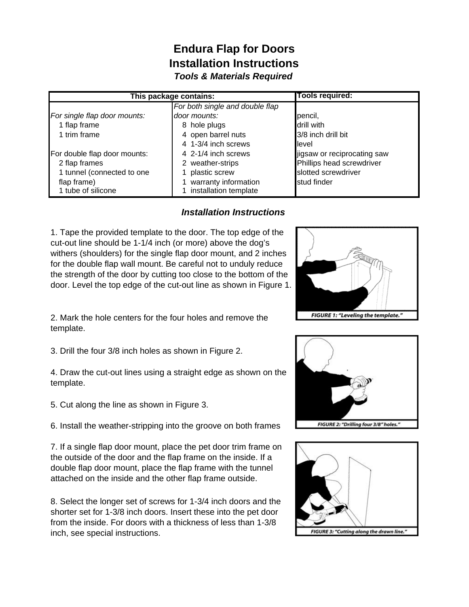## **Endura Flap for Doors Installation Instructions** *Tools & Materials Required*

| This package contains:       |                                 | <b>Tools required:</b>      |
|------------------------------|---------------------------------|-----------------------------|
|                              | For both single and double flap |                             |
| For single flap door mounts: | door mounts:                    | pencil,                     |
| 1 flap frame                 | hole plugs<br>8                 | drill with                  |
| 1 trim frame                 | open barrel nuts<br>4           | 3/8 inch drill bit          |
|                              | 4 1-3/4 inch screws             | llevel                      |
| For double flap door mounts: | 4 2-1/4 inch screws             | jigsaw or reciprocating saw |
| 2 flap frames                | 2 weather-strips                | Phillips head screwdriver   |
| 1 tunnel (connected to one   | plastic screw                   | slotted screwdriver         |
| flap frame)                  | warranty information            | stud finder                 |
| 1 tube of silicone           | installation template           |                             |

## *Installation Instructions*

1. Tape the provided template to the door. The top edge of the cut-out line should be 1-1/4 inch (or more) above the dog's withers (shoulders) for the single flap door mount, and 2 inches for the double flap wall mount. Be careful not to unduly reduce the strength of the door by cutting too close to the bottom of the door. Level the top edge of the cut-out line as shown in Figure 1.



2. Mark the hole centers for the four holes and remove the template.

3. Drill the four 3/8 inch holes as shown in Figure 2.

4. Draw the cut-out lines using a straight edge as shown on the template.

5. Cut along the line as shown in Figure 3.

6. Install the weather-stripping into the groove on both frames

7. If a single flap door mount, place the pet door trim frame on the outside of the door and the flap frame on the inside. If a double flap door mount, place the flap frame with the tunnel attached on the inside and the other flap frame outside.

8. Select the longer set of screws for 1-3/4 inch doors and the shorter set for 1-3/8 inch doors. Insert these into the pet door from the inside. For doors with a thickness of less than 1-3/8 inch, see special instructions.



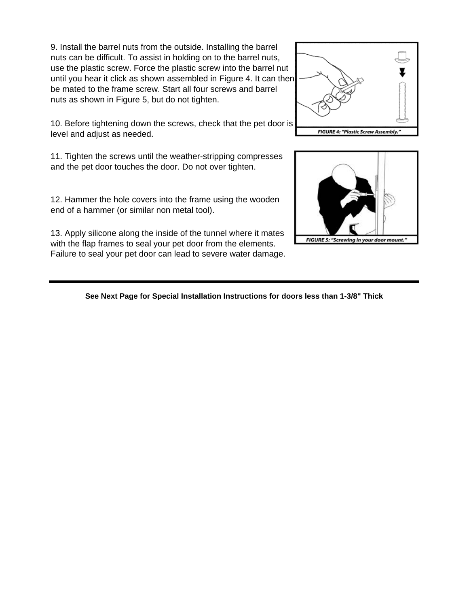9. Install the barrel nuts from the outside. Installing the barrel nuts can be difficult. To assist in holding on to the barrel nuts, use the plastic screw. Force the plastic screw into the barrel nut until you hear it click as shown assembled in Figure 4. It can then be mated to the frame screw. Start all four screws and barrel nuts as shown in Figure 5, but do not tighten.

10. Before tightening down the screws, check that the pet door is level and adjust as needed.

11. Tighten the screws until the weather-stripping compresses and the pet door touches the door. Do not over tighten.

12. Hammer the hole covers into the frame using the wooden end of a hammer (or similar non metal tool).

13. Apply silicone along the inside of the tunnel where it mates with the flap frames to seal your pet door from the elements. Failure to seal your pet door can lead to severe water damage.

**See Next Page for Special Installation Instructions for doors less than 1-3/8" Thick**